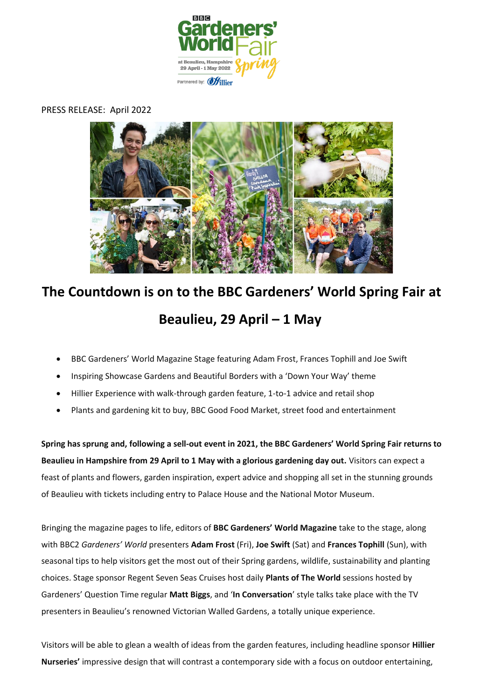

## PRESS RELEASE: April 2022



# **The Countdown is on to the BBC Gardeners' World Spring Fair at Beaulieu, 29 April – 1 May**

- BBC Gardeners' World Magazine Stage featuring Adam Frost, Frances Tophill and Joe Swift
- Inspiring Showcase Gardens and Beautiful Borders with a 'Down Your Way' theme
- Hillier Experience with walk-through garden feature, 1-to-1 advice and retail shop
- Plants and gardening kit to buy, BBC Good Food Market, street food and entertainment

**Spring has sprung and, following a sell-out event in 2021, the BBC Gardeners' World Spring Fair returns to Beaulieu in Hampshire from 29 April to 1 May with a glorious gardening day out.** Visitors can expect a feast of plants and flowers, garden inspiration, expert advice and shopping all set in the stunning grounds of Beaulieu with tickets including entry to Palace House and the National Motor Museum.

Bringing the magazine pages to life, editors of **BBC Gardeners' World Magazine** take to the stage, along with BBC2 *Gardeners' World* presenters **Adam Frost** (Fri), **Joe Swift** (Sat) and **Frances Tophill** (Sun), with seasonal tips to help visitors get the most out of their Spring gardens, wildlife, sustainability and planting choices. Stage sponsor Regent Seven Seas Cruises host daily **Plants of The World** sessions hosted by Gardeners' Question Time regular **Matt Biggs**, and '**In Conversation**' style talks take place with the TV presenters in Beaulieu's renowned Victorian Walled Gardens, a totally unique experience.

Visitors will be able to glean a wealth of ideas from the garden features, including headline sponsor **Hillier Nurseries'** impressive design that will contrast a contemporary side with a focus on outdoor entertaining,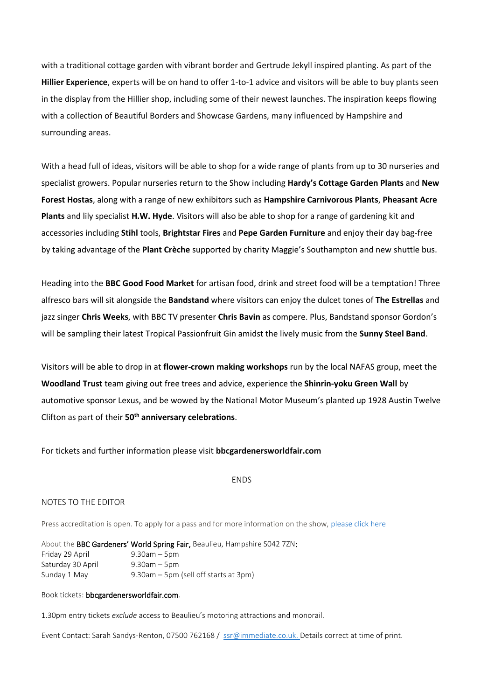with a traditional cottage garden with vibrant border and Gertrude Jekyll inspired planting. As part of the **Hillier Experience**, experts will be on hand to offer 1-to-1 advice and visitors will be able to buy plants seen in the display from the Hillier shop, including some of their newest launches. The inspiration keeps flowing with a collection of Beautiful Borders and Showcase Gardens, many influenced by Hampshire and surrounding areas.

With a head full of ideas, visitors will be able to shop for a wide range of plants from up to 30 nurseries and specialist growers. Popular nurseries return to the Show including **Hardy's Cottage Garden Plants** and **New Forest Hostas**, along with a range of new exhibitors such as **Hampshire Carnivorous Plants**, **Pheasant Acre Plants** and lily specialist **H.W. Hyde**. Visitors will also be able to shop for a range of gardening kit and accessories including **Stihl** tools, **Brightstar Fires** and **Pepe Garden Furniture** and enjoy their day bag-free by taking advantage of the **Plant Crèche** supported by charity Maggie's Southampton and new shuttle bus.

Heading into the **BBC Good Food Market** for artisan food, drink and street food will be a temptation! Three alfresco bars will sit alongside the **Bandstand** where visitors can enjoy the dulcet tones of **The Estrellas** and jazz singer **Chris Weeks**, with BBC TV presenter **Chris Bavin** as compere. Plus, Bandstand sponsor Gordon's will be sampling their latest Tropical Passionfruit Gin amidst the lively music from the **Sunny Steel Band**.

Visitors will be able to drop in at **flower-crown making workshops** run by the local NAFAS group, meet the **Woodland Trust** team giving out free trees and advice, experience the **Shinrin-yoku Green Wall** by automotive sponsor Lexus, and be wowed by the National Motor Museum's planted up 1928 Austin Twelve Clifton as part of their **50th anniversary celebrations**.

For tickets and further information please visit **bbcgardenersworldfair.com**

### **ENDS**

#### NOTES TO THE EDITOR

Press accreditation is open. To apply for a pass and for more information on the show, [please click here](https://www.bbcgardenersworldlive.com/spring-fair/spring-fair-press/)

About the BBC Gardeners' World Spring Fair, Beaulieu, Hampshire S042 7ZN: Friday 29 April 9.30am – 5pm Saturday 30 April 9.30am – 5pm Sunday 1 May 9.30am – 5pm (sell off starts at 3pm)

## Book tickets: bbcgardenersworldfair.com.

1.30pm entry tickets *exclude* access to Beaulieu's motoring attractions and monorail.

Event Contact: Sarah Sandys-Renton, 07500 762168 / [ssr@immediate.co.uk.](mailto:ssr@immediate.co.uk) Details correct at time of print.